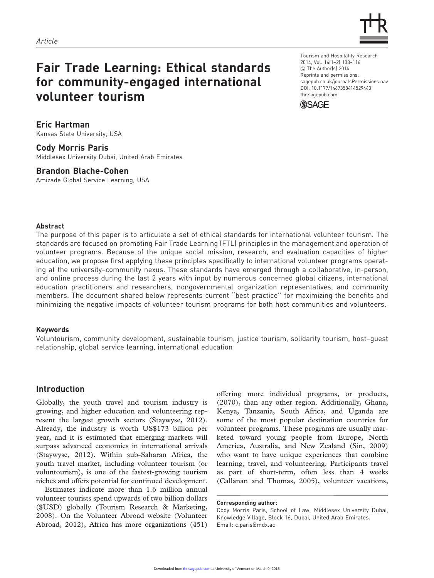

# Fair Trade Learning: Ethical standards for community-engaged international volunteer tourism

Tourism and Hospitality Research 2014, Vol. 14(1–2) 108–116 ! The Author(s) 2014 Reprints and permissions: sagepub.co.uk/journalsPermissions.nav DOI: 10.1177/1467358414529443 thr.sagepub.com



Eric Hartman Kansas State University, USA

Cody Morris Paris Middlesex University Dubai, United Arab Emirates

#### Brandon Blache-Cohen

Amizade Global Service Learning, USA

#### Abstract

The purpose of this paper is to articulate a set of ethical standards for international volunteer tourism. The standards are focused on promoting Fair Trade Learning (FTL) principles in the management and operation of volunteer programs. Because of the unique social mission, research, and evaluation capacities of higher education, we propose first applying these principles specifically to international volunteer programs operating at the university–community nexus. These standards have emerged through a collaborative, in-person, and online process during the last 2 years with input by numerous concerned global citizens, international education practitioners and researchers, nongovernmental organization representatives, and community members. The document shared below represents current ''best practice'' for maximizing the benefits and minimizing the negative impacts of volunteer tourism programs for both host communities and volunteers.

#### Keywords

Voluntourism, community development, sustainable tourism, justice tourism, solidarity tourism, host–guest relationship, global service learning, international education

### Introduction

Globally, the youth travel and tourism industry is growing, and higher education and volunteering represent the largest growth sectors (Staywyse, 2012). Already, the industry is worth US\$173 billion per year, and it is estimated that emerging markets will surpass advanced economies in international arrivals (Staywyse, 2012). Within sub-Saharan Africa, the youth travel market, including volunteer tourism (or voluntourism), is one of the fastest-growing tourism niches and offers potential for continued development.

Estimates indicate more than 1.6 million annual volunteer tourists spend upwards of two billion dollars (\$USD) globally (Tourism Research & Marketing, 2008). On the Volunteer Abroad website (Volunteer Abroad, 2012), Africa has more organizations (451)

offering more individual programs, or products, (2070), than any other region. Additionally, Ghana, Kenya, Tanzania, South Africa, and Uganda are some of the most popular destination countries for volunteer programs. These programs are usually marketed toward young people from Europe, North America, Australia, and New Zealand (Sin, 2009) who want to have unique experiences that combine learning, travel, and volunteering. Participants travel as part of short-term, often less than 4 weeks (Callanan and Thomas, 2005), volunteer vacations,

Corresponding author:

Cody Morris Paris, School of Law, Middlesex University Dubai, Knowledge Village, Block 16, Dubai, United Arab Emirates. Email: c.paris@mdx.ac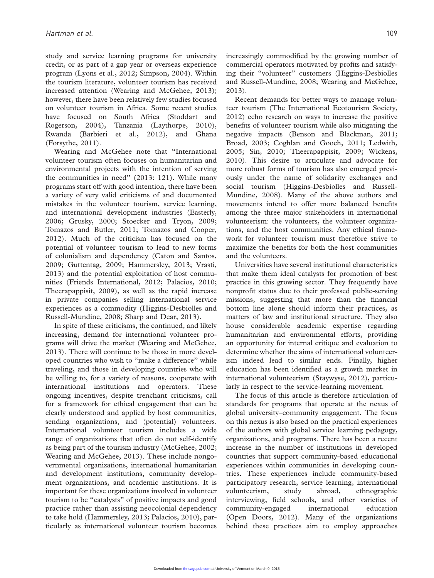study and service learning programs for university credit, or as part of a gap year or overseas experience program (Lyons et al., 2012; Simpson, 2004). Within the tourism literature, volunteer tourism has received increased attention (Wearing and McGehee, 2013); however, there have been relatively few studies focused on volunteer tourism in Africa. Some recent studies have focused on South Africa (Stoddart and Rogerson, 2004), Tanzania (Laythorpe, 2010), Rwanda (Barbieri et al., 2012), and Ghana (Forsythe, 2011).

Wearing and McGehee note that ''International volunteer tourism often focuses on humanitarian and environmental projects with the intention of serving the communities in need'' (2013: 121). While many programs start off with good intention, there have been a variety of very valid criticisms of and documented mistakes in the volunteer tourism, service learning, and international development industries (Easterly, 2006; Grusky, 2000; Stoecker and Tryon, 2009; Tomazos and Butler, 2011; Tomazos and Cooper, 2012). Much of the criticism has focused on the potential of volunteer tourism to lead to new forms of colonialism and dependency (Caton and Santos, 2009; Guttentag, 2009; Hammersley, 2013; Vrasti, 2013) and the potential exploitation of host communities (Friends International, 2012; Palacios, 2010; Theerapappisit, 2009), as well as the rapid increase in private companies selling international service experiences as a commodity (Higgins-Desbiolles and Russell-Mundine, 2008; Sharp and Dear, 2013).

In spite of these criticisms, the continued, and likely increasing, demand for international volunteer programs will drive the market (Wearing and McGehee, 2013). There will continue to be those in more developed countries who wish to ''make a difference'' while traveling, and those in developing countries who will be willing to, for a variety of reasons, cooperate with international institutions and operators. These ongoing incentives, despite trenchant criticisms, call for a framework for ethical engagement that can be clearly understood and applied by host communities, sending organizations, and (potential) volunteers. International volunteer tourism includes a wide range of organizations that often do not self-identify as being part of the tourism industry (McGehee, 2002; Wearing and McGehee, 2013). These include nongovernmental organizations, international humanitarian and development institutions, community development organizations, and academic institutions. It is important for these organizations involved in volunteer tourism to be ''catalysts'' of positive impacts and good practice rather than assisting neocolonial dependency to take hold (Hammersley, 2013; Palacios, 2010), particularly as international volunteer tourism becomes increasingly commodified by the growing number of commercial operators motivated by profits and satisfying their "volunteer" customers (Higgins-Desbiolles and Russell-Mundine, 2008; Wearing and McGehee, 2013).

Recent demands for better ways to manage volunteer tourism (The International Ecotourism Society, 2012) echo research on ways to increase the positive benefits of volunteer tourism while also mitigating the negative impacts (Benson and Blackman, 2011; Broad, 2003; Coghlan and Gooch, 2011; Ledwith, 2005; Sin, 2010; Theerapappisit, 2009; Wickens, 2010). This desire to articulate and advocate for more robust forms of tourism has also emerged previously under the name of solidarity exchanges and social tourism (Higgins-Desbiolles and Russell-Mundine, 2008). Many of the above authors and movements intend to offer more balanced benefits among the three major stakeholders in international volunteerism: the volunteers, the volunteer organizations, and the host communities. Any ethical framework for volunteer tourism must therefore strive to maximize the benefits for both the host communities and the volunteers.

Universities have several institutional characteristics that make them ideal catalysts for promotion of best practice in this growing sector. They frequently have nonprofit status due to their professed public-serving missions, suggesting that more than the financial bottom line alone should inform their practices, as matters of law and institutional structure. They also house considerable academic expertise regarding humanitarian and environmental efforts, providing an opportunity for internal critique and evaluation to determine whether the aims of international volunteerism indeed lead to similar ends. Finally, higher education has been identified as a growth market in international volunteerism (Staywyse, 2012), particularly in respect to the service-learning movement.

The focus of this article is therefore articulation of standards for programs that operate at the nexus of global university–community engagement. The focus on this nexus is also based on the practical experiences of the authors with global service learning pedagogy, organizations, and programs. There has been a recent increase in the number of institutions in developed countries that support community-based educational experiences within communities in developing countries. These experiences include community-based participatory research, service learning, international volunteerism, study abroad, ethnographic interviewing, field schools, and other varieties of community-engaged international education (Open Doors, 2012). Many of the organizations behind these practices aim to employ approaches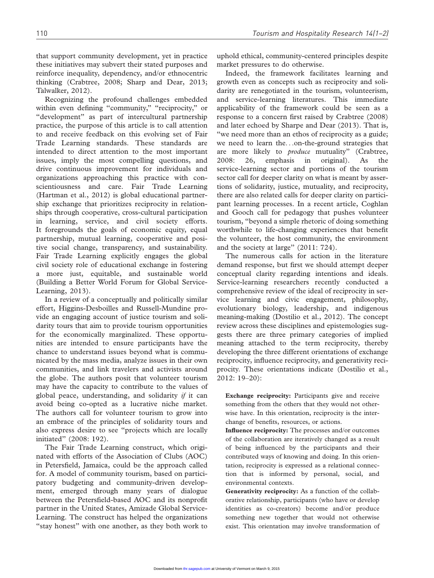that support community development, yet in practice these initiatives may subvert their stated purposes and reinforce inequality, dependency, and/or ethnocentric thinking (Crabtree, 2008; Sharp and Dear, 2013; Talwalker, 2012).

Recognizing the profound challenges embedded within even defining "community," "reciprocity," or "development" as part of intercultural partnership practice, the purpose of this article is to call attention to and receive feedback on this evolving set of Fair Trade Learning standards. These standards are intended to direct attention to the most important issues, imply the most compelling questions, and drive continuous improvement for individuals and organizations approaching this practice with conscientiousness and care. Fair Trade Learning (Hartman et al., 2012) is global educational partnership exchange that prioritizes reciprocity in relationships through cooperative, cross-cultural participation in learning, service, and civil society efforts. It foregrounds the goals of economic equity, equal partnership, mutual learning, cooperative and positive social change, transparency, and sustainability. Fair Trade Learning explicitly engages the global civil society role of educational exchange in fostering a more just, equitable, and sustainable world (Building a Better World Forum for Global Service-Learning, 2013).

In a review of a conceptually and politically similar effort, Higgins-Desboilles and Russell-Mundine provide an engaging account of justice tourism and solidarity tours that aim to provide tourism opportunities for the economically marginalized. These opportunities are intended to ensure participants have the chance to understand issues beyond what is communicated by the mass media, analyze issues in their own communities, and link travelers and activists around the globe. The authors posit that volunteer tourism may have the capacity to contribute to the values of global peace, understanding, and solidarity  $if$  it can avoid being co-opted as a lucrative niche market. The authors call for volunteer tourism to grow into an embrace of the principles of solidarity tours and also express desire to see ''projects which are locally initiated'' (2008: 192).

The Fair Trade Learning construct, which originated with efforts of the Association of Clubs (AOC) in Petersfield, Jamaica, could be the approach called for. A model of community tourism, based on participatory budgeting and community-driven development, emerged through many years of dialogue between the Petersfield-based AOC and its nonprofit partner in the United States, Amizade Global Service-Learning. The construct has helped the organizations "stay honest" with one another, as they both work to

uphold ethical, community-centered principles despite market pressures to do otherwise.

Indeed, the framework facilitates learning and growth even as concepts such as reciprocity and solidarity are renegotiated in the tourism, volunteerism, and service-learning literatures. This immediate applicability of the framework could be seen as a response to a concern first raised by Crabtree (2008) and later echoed by Sharpe and Dear (2013). That is, "we need more than an ethos of reciprocity as a guide; we need to learn the...on-the-ground strategies that are more likely to *produce* mutuality" (Crabtree, 2008: 26, emphasis in original). As the service-learning sector and portions of the tourism sector call for deeper clarity on what is meant by assertions of solidarity, justice, mutuality, and reciprocity, there are also related calls for deeper clarity on participant learning processes. In a recent article, Coghlan and Gooch call for pedagogy that pushes volunteer tourism, ''beyond a simple rhetoric of doing something worthwhile to life-changing experiences that benefit the volunteer, the host community, the environment and the society at large'' (2011: 724).

The numerous calls for action in the literature demand response, but first we should attempt deeper conceptual clarity regarding intentions and ideals. Service-learning researchers recently conducted a comprehensive review of the ideal of reciprocity in service learning and civic engagement, philosophy, evolutionary biology, leadership, and indigenous meaning-making (Dostilio et al., 2012). The concept review across these disciplines and epistemologies suggests there are three primary categories of implied meaning attached to the term reciprocity, thereby developing the three different orientations of exchange reciprocity, influence reciprocity, and generativity reciprocity. These orientations indicate (Dostilio et al., 2012: 19–20):

Exchange reciprocity: Participants give and receive something from the others that they would not otherwise have. In this orientation, reciprocity is the interchange of benefits, resources, or actions.

Influence reciprocity: The processes and/or outcomes of the collaboration are iteratively changed as a result of being influenced by the participants and their contributed ways of knowing and doing. In this orientation, reciprocity is expressed as a relational connection that is informed by personal, social, and environmental contexts.

Generativity reciprocity: As a function of the collaborative relationship, participants (who have or develop identities as co-creators) become and/or produce something new together that would not otherwise exist. This orientation may involve transformation of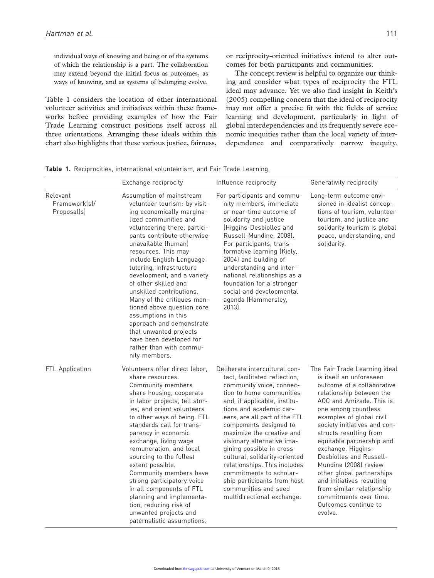individual ways of knowing and being or of the systems of which the relationship is a part. The collaboration may extend beyond the initial focus as outcomes, as ways of knowing, and as systems of belonging evolve.

Table 1 considers the location of other international volunteer activities and initiatives within these frameworks before providing examples of how the Fair Trade Learning construct positions itself across all three orientations. Arranging these ideals within this chart also highlights that these various justice, fairness, or reciprocity-oriented initiatives intend to alter outcomes for both participants and communities.

The concept review is helpful to organize our thinking and consider what types of reciprocity the FTL ideal may advance. Yet we also find insight in Keith's (2005) compelling concern that the ideal of reciprocity may not offer a precise fit with the fields of service learning and development, particularly in light of global interdependencies and its frequently severe economic inequities rather than the local variety of interdependence and comparatively narrow inequity.

Table 1. Reciprocities, international volunteerism, and Fair Trade Learning.

|                                          | Exchange reciprocity                                                                                                                                                                                                                                                                                                                                                                                                                                                                                                                                                                 | Influence reciprocity                                                                                                                                                                                                                                                                                                                                                                                                                                                                                                 | Generativity reciprocity                                                                                                                                                                                                                                                                                                                                                                                                                                                                                               |
|------------------------------------------|--------------------------------------------------------------------------------------------------------------------------------------------------------------------------------------------------------------------------------------------------------------------------------------------------------------------------------------------------------------------------------------------------------------------------------------------------------------------------------------------------------------------------------------------------------------------------------------|-----------------------------------------------------------------------------------------------------------------------------------------------------------------------------------------------------------------------------------------------------------------------------------------------------------------------------------------------------------------------------------------------------------------------------------------------------------------------------------------------------------------------|------------------------------------------------------------------------------------------------------------------------------------------------------------------------------------------------------------------------------------------------------------------------------------------------------------------------------------------------------------------------------------------------------------------------------------------------------------------------------------------------------------------------|
| Relevant<br>Framework(s)/<br>Proposal(s) | Assumption of mainstream<br>volunteer tourism: by visit-<br>ing economically margina-<br>lized communities and<br>volunteering there, partici-<br>pants contribute otherwise<br>unavailable (human)<br>resources. This may<br>include English Language<br>tutoring, infrastructure<br>development, and a variety<br>of other skilled and<br>unskilled contributions.<br>Many of the critiques men-<br>tioned above question core<br>assumptions in this<br>approach and demonstrate<br>that unwanted projects<br>have been developed for<br>rather than with commu-<br>nity members. | For participants and commu-<br>nity members, immediate<br>or near-time outcome of<br>solidarity and justice<br>(Higgins-Desbiolles and<br>Russell-Mundine, 2008).<br>For participants, trans-<br>formative learning (Kiely,<br>2004) and building of<br>understanding and inter-<br>national relationships as a<br>foundation for a stronger<br>social and developmental<br>agenda (Hammersley,<br>2013).                                                                                                             | Long-term outcome envi-<br>sioned in idealist concep-<br>tions of tourism, volunteer<br>tourism, and justice and<br>solidarity tourism is global<br>peace, understanding, and<br>solidarity.                                                                                                                                                                                                                                                                                                                           |
| FTL Application                          | Volunteers offer direct labor,<br>share resources.<br>Community members<br>share housing, cooperate<br>in labor projects, tell stor-<br>ies, and orient volunteers<br>to other ways of being. FTL<br>standards call for trans-<br>parency in economic<br>exchange, living wage<br>remuneration, and local<br>sourcing to the fullest<br>extent possible.<br>Community members have<br>strong participatory voice<br>in all components of FTL<br>planning and implementa-<br>tion, reducing risk of<br>unwanted projects and<br>paternalistic assumptions.                            | Deliberate intercultural con-<br>tact, facilitated reflection,<br>community voice, connec-<br>tion to home communities<br>and, if applicable, institu-<br>tions and academic car-<br>eers, are all part of the FTL<br>components designed to<br>maximize the creative and<br>visionary alternative ima-<br>gining possible in cross-<br>cultural, solidarity-oriented<br>relationships. This includes<br>commitments to scholar-<br>ship participants from host<br>communities and seed<br>multidirectional exchange. | The Fair Trade Learning ideal<br>is itself an unforeseen<br>outcome of a collaborative<br>relationship between the<br>AOC and Amizade. This is<br>one among countless<br>examples of global civil<br>society initiatives and con-<br>structs resulting from<br>equitable partnership and<br>exchange. Higgins-<br>Desbiolles and Russell-<br>Mundine (2008) review<br>other global partnerships<br>and initiatives resulting<br>from similar relationship<br>commitments over time.<br>Outcomes continue to<br>evolve. |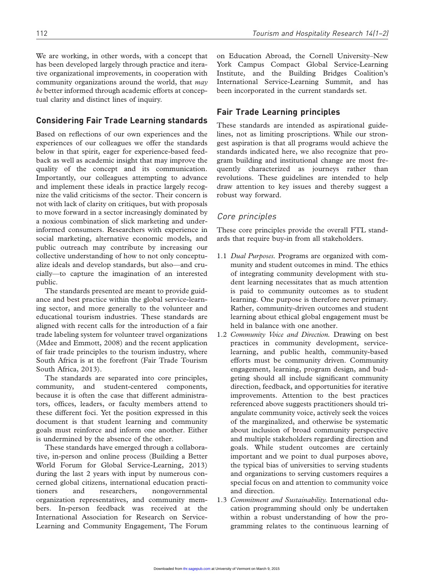We are working, in other words, with a concept that has been developed largely through practice and iterative organizational improvements, in cooperation with community organizations around the world, that may be better informed through academic efforts at conceptual clarity and distinct lines of inquiry.

## Considering Fair Trade Learning standards

Based on reflections of our own experiences and the experiences of our colleagues we offer the standards below in that spirit, eager for experience-based feedback as well as academic insight that may improve the quality of the concept and its communication. Importantly, our colleagues attempting to advance and implement these ideals in practice largely recognize the valid criticisms of the sector. Their concern is not with lack of clarity on critiques, but with proposals to move forward in a sector increasingly dominated by a noxious combination of slick marketing and underinformed consumers. Researchers with experience in social marketing, alternative economic models, and public outreach may contribute by increasing our collective understanding of how to not only conceptualize ideals and develop standards, but also—and crucially—to capture the imagination of an interested public.

The standards presented are meant to provide guidance and best practice within the global service-learning sector, and more generally to the volunteer and educational tourism industries. These standards are aligned with recent calls for the introduction of a fair trade labeling system for volunteer travel organizations (Mdee and Emmott, 2008) and the recent application of fair trade principles to the tourism industry, where South Africa is at the forefront (Fair Trade Tourism South Africa, 2013).

The standards are separated into core principles, community, and student-centered components, because it is often the case that different administrators, offices, leaders, or faculty members attend to these different foci. Yet the position expressed in this document is that student learning and community goals must reinforce and inform one another. Either is undermined by the absence of the other.

These standards have emerged through a collaborative, in-person and online process (Building a Better World Forum for Global Service-Learning, 2013) during the last 2 years with input by numerous concerned global citizens, international education practitioners and researchers, nongovernmental organization representatives, and community members. In-person feedback was received at the International Association for Research on Service-Learning and Community Engagement, The Forum on Education Abroad, the Cornell University–New York Campus Compact Global Service-Learning Institute, and the Building Bridges Coalition's International Service-Learning Summit, and has been incorporated in the current standards set.

## Fair Trade Learning principles

These standards are intended as aspirational guidelines, not as limiting proscriptions. While our strongest aspiration is that all programs would achieve the standards indicated here, we also recognize that program building and institutional change are most frequently characterized as journeys rather than revolutions. These guidelines are intended to help draw attention to key issues and thereby suggest a robust way forward.

## Core principles

These core principles provide the overall FTL standards that require buy-in from all stakeholders.

- 1.1 Dual Purposes. Programs are organized with community and student outcomes in mind. The ethics of integrating community development with student learning necessitates that as much attention is paid to community outcomes as to student learning. One purpose is therefore never primary. Rather, community-driven outcomes and student learning about ethical global engagement must be held in balance with one another.
- 1.2 Community Voice and Direction. Drawing on best practices in community development, servicelearning, and public health, community-based efforts must be community driven. Community engagement, learning, program design, and budgeting should all include significant community direction, feedback, and opportunities for iterative improvements. Attention to the best practices referenced above suggests practitioners should triangulate community voice, actively seek the voices of the marginalized, and otherwise be systematic about inclusion of broad community perspective and multiple stakeholders regarding direction and goals. While student outcomes are certainly important and we point to dual purposes above, the typical bias of universities to serving students and organizations to serving customers requires a special focus on and attention to community voice and direction.
- 1.3 Commitment and Sustainability. International education programming should only be undertaken within a robust understanding of how the programming relates to the continuous learning of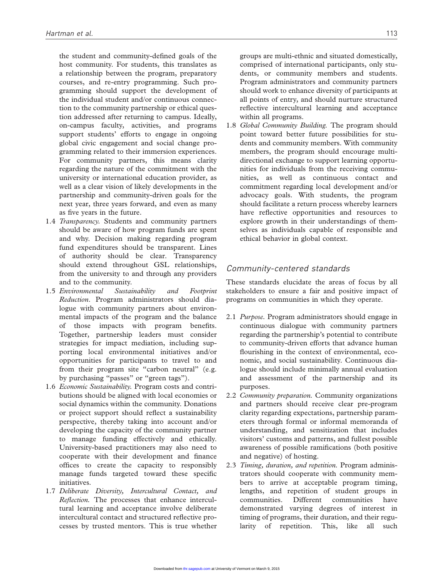the student and community-defined goals of the host community. For students, this translates as a relationship between the program, preparatory courses, and re-entry programming. Such programming should support the development of the individual student and/or continuous connection to the community partnership or ethical question addressed after returning to campus. Ideally, on-campus faculty, activities, and programs support students' efforts to engage in ongoing global civic engagement and social change programming related to their immersion experiences. For community partners, this means clarity regarding the nature of the commitment with the university or international education provider, as well as a clear vision of likely developments in the partnership and community-driven goals for the next year, three years forward, and even as many as five years in the future.

- 1.4 Transparency. Students and community partners should be aware of how program funds are spent and why. Decision making regarding program fund expenditures should be transparent. Lines of authority should be clear. Transparency should extend throughout GSL relationships, from the university to and through any providers and to the community.
- 1.5 Environmental Sustainability and Footprint Reduction. Program administrators should dialogue with community partners about environmental impacts of the program and the balance of those impacts with program benefits. Together, partnership leaders must consider strategies for impact mediation, including supporting local environmental initiatives and/or opportunities for participants to travel to and from their program site "carbon neutral" (e.g. by purchasing ''passes'' or ''green tags'').
- 1.6 Economic Sustainability. Program costs and contributions should be aligned with local economies or social dynamics within the community. Donations or project support should reflect a sustainability perspective, thereby taking into account and/or developing the capacity of the community partner to manage funding effectively and ethically. University-based practitioners may also need to cooperate with their development and finance offices to create the capacity to responsibly manage funds targeted toward these specific initiatives.
- 1.7 Deliberate Diversity, Intercultural Contact, and Reflection. The processes that enhance intercultural learning and acceptance involve deliberate intercultural contact and structured reflective processes by trusted mentors. This is true whether

groups are multi-ethnic and situated domestically, comprised of international participants, only students, or community members and students. Program administrators and community partners should work to enhance diversity of participants at all points of entry, and should nurture structured reflective intercultural learning and acceptance within all programs.

1.8 Global Community Building. The program should point toward better future possibilities for students and community members. With community members, the program should encourage multidirectional exchange to support learning opportunities for individuals from the receiving communities, as well as continuous contact and commitment regarding local development and/or advocacy goals. With students, the program should facilitate a return process whereby learners have reflective opportunities and resources to explore growth in their understandings of themselves as individuals capable of responsible and ethical behavior in global context.

### Community-centered standards

These standards elucidate the areas of focus by all stakeholders to ensure a fair and positive impact of programs on communities in which they operate.

- 2.1 *Purpose*. Program administrators should engage in continuous dialogue with community partners regarding the partnership's potential to contribute to community-driven efforts that advance human flourishing in the context of environmental, economic, and social sustainability. Continuous dialogue should include minimally annual evaluation and assessment of the partnership and its purposes.
- 2.2 Community preparation. Community organizations and partners should receive clear pre-program clarity regarding expectations, partnership parameters through formal or informal memoranda of understanding, and sensitization that includes visitors' customs and patterns, and fullest possible awareness of possible ramifications (both positive and negative) of hosting.
- 2.3 Timing, duration, and repetition. Program administrators should cooperate with community members to arrive at acceptable program timing, lengths, and repetition of student groups in communities. Different communities have demonstrated varying degrees of interest in timing of programs, their duration, and their regularity of repetition. This, like all such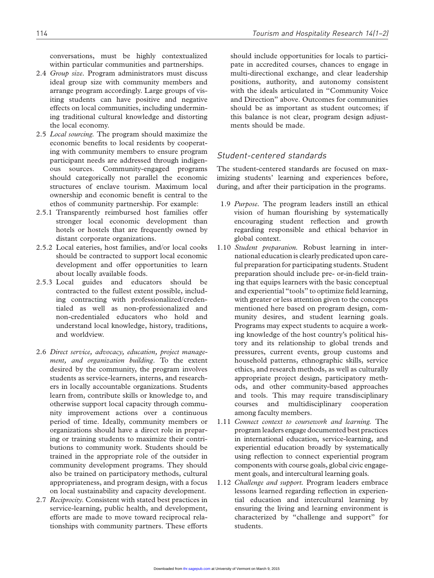conversations, must be highly contextualized within particular communities and partnerships.

- 2.4 Group size. Program administrators must discuss ideal group size with community members and arrange program accordingly. Large groups of visiting students can have positive and negative effects on local communities, including undermining traditional cultural knowledge and distorting the local economy.
- 2.5 Local sourcing. The program should maximize the economic benefits to local residents by cooperating with community members to ensure program participant needs are addressed through indigenous sources. Community-engaged programs should categorically not parallel the economic structures of enclave tourism. Maximum local ownership and economic benefit is central to the ethos of community partnership. For example:
- 2.5.1 Transparently reimbursed host families offer stronger local economic development than hotels or hostels that are frequently owned by distant corporate organizations.
- 2.5.2 Local eateries, host families, and/or local cooks should be contracted to support local economic development and offer opportunities to learn about locally available foods.
- 2.5.3 Local guides and educators should be contracted to the fullest extent possible, including contracting with professionalized/credentialed as well as non-professionalized and non-credentialed educators who hold and understand local knowledge, history, traditions, and worldview.
- 2.6 Direct service, advocacy, education, project management, and organization building. To the extent desired by the community, the program involves students as service-learners, interns, and researchers in locally accountable organizations. Students learn from, contribute skills or knowledge to, and otherwise support local capacity through community improvement actions over a continuous period of time. Ideally, community members or organizations should have a direct role in preparing or training students to maximize their contributions to community work. Students should be trained in the appropriate role of the outsider in community development programs. They should also be trained on participatory methods, cultural appropriateness, and program design, with a focus on local sustainability and capacity development.
- 2.7 Reciprocity. Consistent with stated best practices in service-learning, public health, and development, efforts are made to move toward reciprocal relationships with community partners. These efforts

should include opportunities for locals to participate in accredited courses, chances to engage in multi-directional exchange, and clear leadership positions, authority, and autonomy consistent with the ideals articulated in "Community Voice and Direction'' above. Outcomes for communities should be as important as student outcomes; if this balance is not clear, program design adjustments should be made.

## Student-centered standards

The student-centered standards are focused on maximizing students' learning and experiences before, during, and after their participation in the programs.

- 1.9 Purpose. The program leaders instill an ethical vision of human flourishing by systematically encouraging student reflection and growth regarding responsible and ethical behavior in global context.
- 1.10 Student preparation. Robust learning in international education is clearly predicated upon careful preparation for participating students. Student preparation should include pre- or-in-field training that equips learners with the basic conceptual and experiential ''tools'' to optimize field learning, with greater or less attention given to the concepts mentioned here based on program design, community desires, and student learning goals. Programs may expect students to acquire a working knowledge of the host country's political history and its relationship to global trends and pressures, current events, group customs and household patterns, ethnographic skills, service ethics, and research methods, as well as culturally appropriate project design, participatory methods, and other community-based approaches and tools. This may require transdisciplinary courses and multidisciplinary cooperation among faculty members.
- 1.11 Connect context to coursework and learning. The program leaders engage documented best practices in international education, service-learning, and experiential education broadly by systematically using reflection to connect experiential program components with course goals, global civic engagement goals, and intercultural learning goals.
- 1.12 Challenge and support. Program leaders embrace lessons learned regarding reflection in experiential education and intercultural learning by ensuring the living and learning environment is characterized by ''challenge and support'' for students.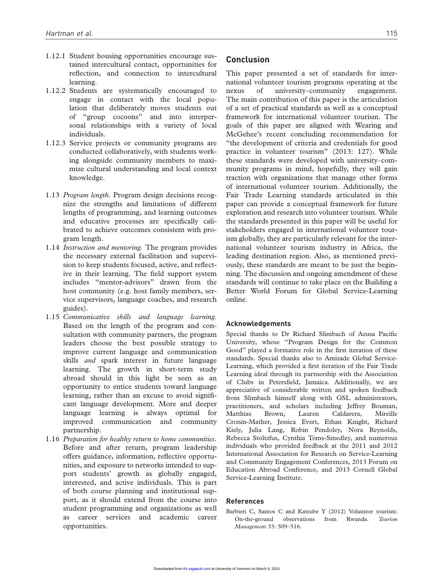- 1.12.1 Student housing opportunities encourage sustained intercultural contact, opportunities for reflection, and connection to intercultural learning.
- 1.12.2 Students are systematically encouraged to engage in contact with the local population that deliberately moves students out of ''group cocoons'' and into interpersonal relationships with a variety of local individuals.
- 1.12.3 Service projects or community programs are conducted collaboratively, with students working alongside community members to maximize cultural understanding and local context knowledge.
- 1.13 Program length. Program design decisions recognize the strengths and limitations of different lengths of programming, and learning outcomes and educative processes are specifically calibrated to achieve outcomes consistent with program length.
- 1.14 Instruction and mentoring. The program provides the necessary external facilitation and supervision to keep students focused, active, and reflective in their learning. The field support system includes ''mentor-advisors'' drawn from the host community (e.g. host family members, service supervisors, language coaches, and research guides).
- 1.15 Communicative skills and language learning. Based on the length of the program and consultation with community partners, the program leaders choose the best possible strategy to improve current language and communication skills and spark interest in future language learning. The growth in short-term study abroad should in this light be seen as an opportunity to entice students toward language learning, rather than an excuse to avoid significant language development. More and deeper language learning is always optimal for improved communication and community partnership.
- 1.16 Preparation for healthy return to home communities. Before and after return, program leadership offers guidance, information, reflective opportunities, and exposure to networks intended to support students' growth as globally engaged, interested, and active individuals. This is part of both course planning and institutional support, as it should extend from the course into student programming and organizations as well as career services and academic career opportunities.

#### Conclusion

This paper presented a set of standards for international volunteer tourism programs operating at the nexus of university–community engagement. The main contribution of this paper is the articulation of a set of practical standards as well as a conceptual framework for international volunteer tourism. The goals of this paper are aligned with Wearing and McGehee's recent concluding recommendation for ''the development of criteria and credentials for good practice in volunteer tourism'' (2013: 127). While these standards were developed with university–community programs in mind, hopefully, they will gain traction with organizations that manage other forms of international volunteer tourism. Additionally, the Fair Trade Learning standards articulated in this paper can provide a conceptual framework for future exploration and research into volunteer tourism. While the standards presented in this paper will be useful for stakeholders engaged in international volunteer tourism globally, they are particularly relevant for the international volunteer tourism industry in Africa, the leading destination region. Also, as mentioned previously, these standards are meant to be just the beginning. The discussion and ongoing amendment of these standards will continue to take place on the Building a Better World Forum for Global Service-Learning online.

#### Acknowledgements

Special thanks to Dr Richard Slimbach of Azusa Pacific University, whose ''Program Design for the Common Good'' played a formative role in the first iteration of these standards. Special thanks also to Amizade Global Service-Learning, which provided a first iteration of the Fair Trade Learning ideal through its partnership with the Association of Clubs in Petersfield, Jamaica. Additionally, we are appreciative of considerable written and spoken feedback from Slimbach himself along with GSL administrators, practitioners, and scholars including Jeffrey Bouman, Matthias Brown, Lauren Caldarera, Mireille Cronin-Mather, Jessica Evert, Ethan Knight, Richard Kiely, Julia Lang, Robin Pendoley, Nora Reynolds, Rebecca Stoltzfus, Cynthia Toms-Smedley, and numerous individuals who provided feedback at the 2011 and 2012 International Association for Research on Service-Learning and Community Engagement Conferences, 2013 Forum on Education Abroad Conference, and 2013 Cornell Global Service-Learning Institute.

#### References

Barbieri C, Santos C and Katsube Y (2012) Volunteer tourism: On-the-ground observations from Rwanda. Tourism Management 33: 509–516.